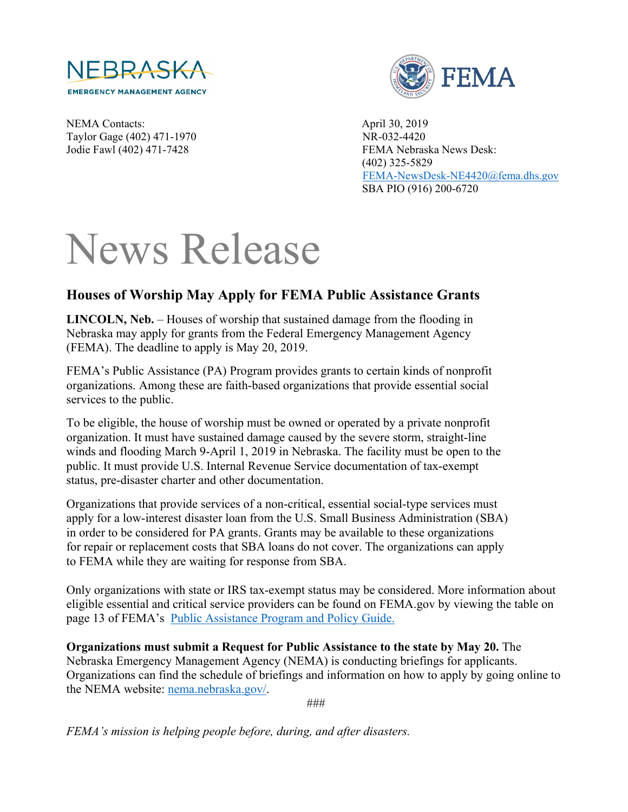

FEMA

NEMA Contacts: April 30, 2019 Taylor Gage (402) 471-1970 NR-032-4420

Jodie Fawl (402) 471-7428 FEMA Nebraska News Desk: (402) 325-5829 [FEMA-NewsDesk-NE4420@fema.dhs.gov](mailto:FEMA-NewsDesk-NE4420@fema.dhs.gov) SBA PIO (916) 200-6720

## News Release

## **Houses of Worship May Apply for FEMA Public Assistance Grants**

**LINCOLN, Neb.** – Houses of worship that sustained damage from the flooding in Nebraska may apply for grants from the Federal Emergency Management Agency (FEMA). The deadline to apply is May 20, 2019.

FEMA's Public Assistance (PA) Program provides grants to certain kinds of nonprofit organizations. Among these are faith-based organizations that provide essential social services to the public.

To be eligible, the house of worship must be owned or operated by a private nonprofit organization. It must have sustained damage caused by the severe storm, straight-line winds and flooding March 9-April 1, 2019 in Nebraska. The facility must be open to the public. It must provide U.S. Internal Revenue Service documentation of tax-exempt status, pre-disaster charter and other documentation.

Organizations that provide services of a non-critical, essential social-type services must apply for a low-interest disaster loan from the U.S. Small Business Administration (SBA) in order to be considered for PA grants. Grants may be available to these organizations for repair or replacement costs that SBA loans do not cover. The organizations can apply to FEMA while they are waiting for response from SBA.

Only organizations with state or IRS tax-exempt status may be considered. More information about eligible essential and critical service providers can be found on FEMA.gov by viewing the table on page 13 of FEMA's [Public Assistance Program and Policy Guide.](https://www.fema.gov/media-library-data/1525468328389-4a038bbef9081cd7dfe7538e7751aa9c/PAPPG_3.1_508_FINAL_5-4-2018.pdf)

**Organizations must submit a Request for Public Assistance to the state by May 20.** The Nebraska Emergency Management Agency (NEMA) is conducting briefings for applicants. Organizations can find the schedule of briefings and information on how to apply by going online to the NEMA website: [nema.nebraska.gov/.](https://nema.nebraska.gov/)

###

*FEMA's mission is helping people before, during, and after disasters.*